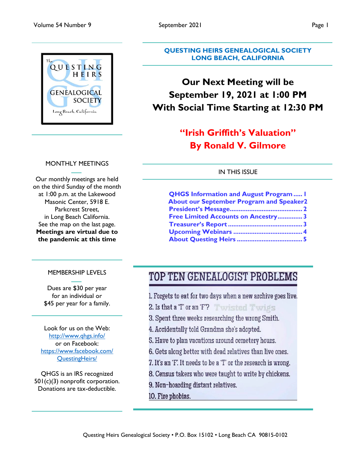

#### MONTHLY MEETINGS

Our monthly meetings are held on the third Sunday of the month at 1:00 p.m. at the Lakewood Masonic Center, 5918 E. Parkcrest Street, in Long Beach California. See the map on the last page. **Meetings are virtual due to the pandemic at this time**

#### **QUESTING HEIRS GENEALOGICAL SOCIETY LONG BEACH, CALIFORNIA**

# **Our Next Meeting will be September 19, 2021 at 1:00 PM With Social Time Starting at 12:30 PM**

# **"Irish Griffith's Valuation" By Ronald V. Gilmore**

#### IN THIS ISSUE

| <b>QHGS Information and August Program I</b>    |  |
|-------------------------------------------------|--|
| <b>About our September Program and Speaker2</b> |  |
|                                                 |  |
| <b>Free Limited Accounts on Ancestry3</b>       |  |
|                                                 |  |
|                                                 |  |
|                                                 |  |

#### MEMBERSHIP LEVELS

Dues are \$30 per year for an individual or \$45 per year for a family.

Look for us on the Web: http://www.qhgs.info/ or on Facebook: https://www.facebook.com/ QuestingHeirs/

QHGS is an IRS recognized 501(c)(3) nonprofit corporation. Donations are tax-deductible.

# TOP TEN GENEALOGIST PROBLEMS

- 1. Forgets to eat for two days when a new archive goes live.
- 2. Is that a T or an 'F'? Twisted Twips
- 3. Spent three weeks researching the wrong Smith.
- 4. Accidentally told Grandma she's adopted.
- 5. Have to plan vacations around cemetery hours.
- 6. Gets along better with dead relatives than live ones.
- 7. It's an 'F'. It needs to be a 'T' or the research is wrong.
- 8. Census takers who were taught to write by chickens.
- 9. Non-hoarding distant relatives.
- 10. Fire phobias.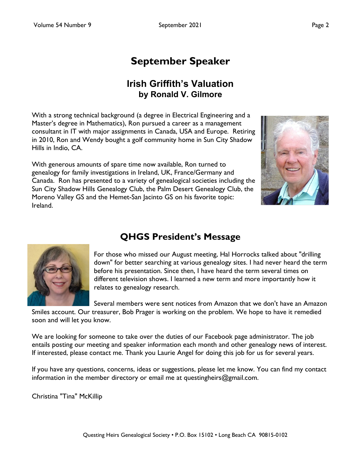# **September Speaker**

## **Irish Griffith's Valuation by Ronald V. Gilmore**

With a strong technical background (a degree in Electrical Engineering and a Master's degree in Mathematics), Ron pursued a career as a management consultant in IT with major assignments in Canada, USA and Europe. Retiring in 2010, Ron and Wendy bought a golf community home in Sun City Shadow Hills in Indio, CA.

With generous amounts of spare time now available, Ron turned to genealogy for family investigations in Ireland, UK, France/Germany and Canada. Ron has presented to a variety of genealogical societies including the Sun City Shadow Hills Genealogy Club, the Palm Desert Genealogy Club, the Moreno Valley GS and the Hemet-San Jacinto GS on his favorite topic: Ireland.





# **QHGS President's Message**

For those who missed our August meeting, Hal Horrocks talked about "drilling down" for better searching at various genealogy sites. I had never heard the term before his presentation. Since then, I have heard the term several times on different television shows. I learned a new term and more importantly how it relates to genealogy research.

Several members were sent notices from Amazon that we don't have an Amazon Smiles account. Our treasurer, Bob Prager is working on the problem. We hope to have it remedied soon and will let you know.

We are looking for someone to take over the duties of our Facebook page administrator. The job entails posting our meeting and speaker information each month and other genealogy news of interest. If interested, please contact me. Thank you Laurie Angel for doing this job for us for several years.

If you have any questions, concerns, ideas or suggestions, please let me know. You can find my contact information in the member directory or email me at questingheirs@gmail.com.

Christina "Tina" McKillip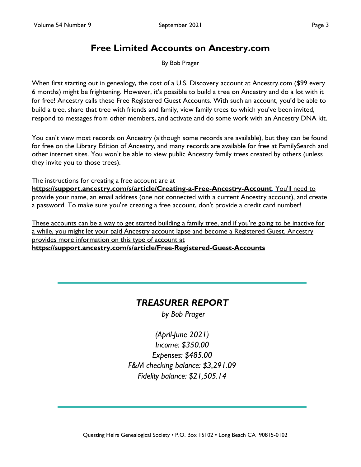## **Free Limited Accounts on Ancestry.com**

By Bob Prager

When first starting out in genealogy, the cost of a U.S. Discovery account at Ancestry.com (\$99 every 6 months) might be frightening. However, it's possible to build a tree on Ancestry and do a lot with it for free! Ancestry calls these Free Registered Guest Accounts. With such an account, you'd be able to build a tree, share that tree with friends and family, view family trees to which you've been invited, respond to messages from other members, and activate and do some work with an Ancestry DNA kit.

You can't view most records on Ancestry (although some records are available), but they can be found for free on the Library Edition of Ancestry, and many records are available for free at FamilySearch and other internet sites. You won't be able to view public Ancestry family trees created by others (unless they invite you to those trees).

The instructions for creating a free account are at **https://support.ancestry.com/s/article/Creating-a-Free-Ancestry-Account**. You'll need to provide your name, an email address (one not connected with a current Ancestry account), and create a password. To make sure you're creating a free account, don't provide a credit card number!

These accounts can be a way to get started building a family tree, and if you're going to be inactive for a while, you might let your paid Ancestry account lapse and become a Registered Guest. Ancestry provides more information on this type of account at **https://support.ancestry.com/s/article/Free-Registered-Guest-Accounts**

### *TREASURER REPORT*

*by Bob Prager*

*(April-June 2021) Income: \$350.00 Expenses: \$485.00 F&M checking balance: \$3,291.09 Fidelity balance: \$21,505.14*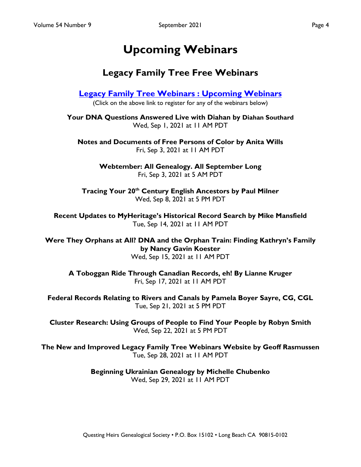# **Upcoming Webinars**

## **Legacy Family Tree Free Webinars**

**Legacy Family Tree Webinars : Upcoming Webinars**

(Click on the above link to register for any of the webinars below)

**Your DNA Questions Answered Live with Diahan by Diahan Southard** Wed, Sep 1, 2021 at 11 AM PDT

**Notes and Documents of Free Persons of Color by Anita Wills** Fri, Sep 3, 2021 at 11 AM PDT

> **Webtember: All Genealogy. All September Long** Fri, Sep 3, 2021 at 5 AM PDT

**Tracing Your 20th Century English Ancestors by Paul Milner** Wed, Sep 8, 2021 at 5 PM PDT

**Recent Updates to MyHeritage's Historical Record Search by Mike Mansfield** Tue, Sep 14, 2021 at 11 AM PDT

**Were They Orphans at All? DNA and the Orphan Train: Finding Kathryn's Family by Nancy Gavin Koester** Wed, Sep 15, 2021 at 11 AM PDT

**A Toboggan Ride Through Canadian Records, eh! By Lianne Kruger** Fri, Sep 17, 2021 at 11 AM PDT

**Federal Records Relating to Rivers and Canals by Pamela Boyer Sayre, CG, CGL** Tue, Sep 21, 2021 at 5 PM PDT

**Cluster Research: Using Groups of People to Find Your People by Robyn Smith** Wed, Sep 22, 2021 at 5 PM PDT

**The New and Improved Legacy Family Tree Webinars Website by Geoff Rasmussen** Tue, Sep 28, 2021 at 11 AM PDT

> **Beginning Ukrainian Genealogy by Michelle Chubenko** Wed, Sep 29, 2021 at 11 AM PDT